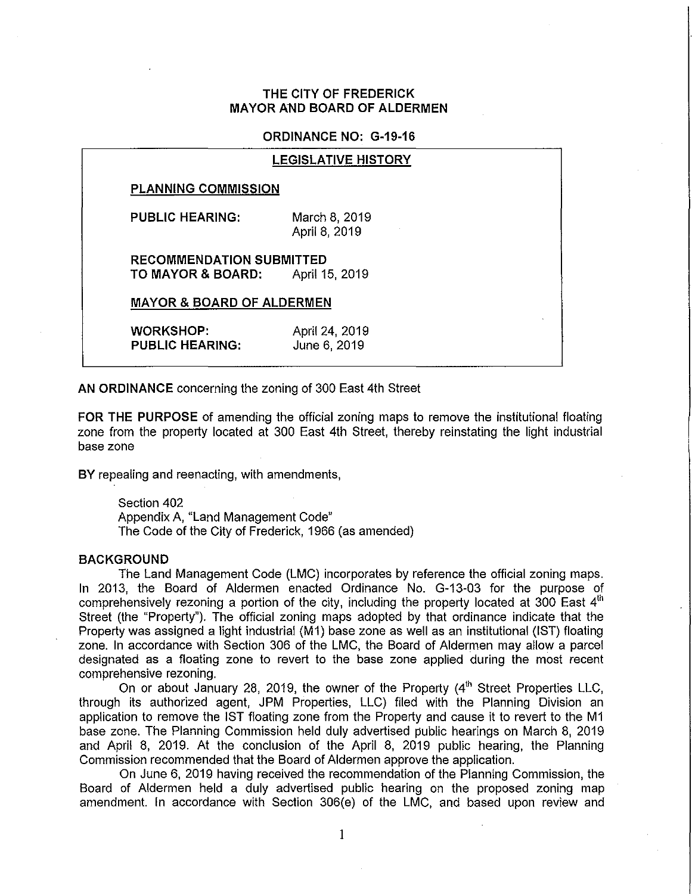## **THE CITY OF FREDERICK MAYOR AND BOARD OF ALDERMEN**

## **ORDINANCE NO: G·19·16**

|                                                      | <b>LEGISLATIVE HISTORY</b>     |
|------------------------------------------------------|--------------------------------|
| <b>PLANNING COMMISSION</b>                           |                                |
| <b>PUBLIC HEARING:</b>                               | March 8, 2019<br>April 8, 2019 |
| <b>RECOMMENDATION SUBMITTED</b><br>TO MAYOR & BOARD: | April 15, 2019                 |
| <b>MAYOR &amp; BOARD OF ALDERMEN</b>                 |                                |
| <b>WORKSHOP:</b><br><b>PUBLIC HEARING:</b>           | April 24, 2019<br>June 6, 2019 |

**AN ORDINANCE** concerning the zoning of 300 East 4th Street

**FOR THE PURPOSE** of amending the official zoning maps to remove the institutional floating zone from the property located at 300 East 4th Street, thereby reinstating the light industrial base zone

**BY** repealing and reenacting, with amendments,

Section 402 Appendix A, "Land Management Code" The Code of the City of Frederick, 1966 (as amended)

## **BACKGROUND**

The Land Management Code (LMC) incorporates by reference the official zoning maps. In 2013, the Board of Aldermen enacted Ordinance No. G·13·03 for the purpose of comprehensively rezoning a portion of the city, including the property located at 300 East  $4<sup>th</sup>$ Street (the "Property"). The official zoning maps adopted by that ordinance indicate that the Property was assigned a light industrial (M1) base zone as well as an institutional (1ST) floating zone. In accordance with Section 306 of the LMC, the Board of Aldermen may allow a parcel designated as a floating zone to revert to the base zone applied during the most recent comprehensive rezoning.

On or about January 28, 2019, the owner of the Property  $(4<sup>th</sup>$  Street Properties LLC, through its authorized agent, JPM Properties, LLC) filed with the Planning Division an application to remove the **1ST** floating zone from the Property and cause it to revert to the M1 base zone. The Planning Commission held duly advertised public hearings on March 8, 2019 and April 8, 2019. At the conclusion of the April 8, 2019 public hearing, the Planning Commission recommended that the Board of Aldermen approve the application.

On June 6, 2019 having received the recommendation of the Planning Commission, the Board of Aldermen held a duly advertised public hearing on the proposed zoning map amendment. In accordance with Section 306(e) of the LMC, and based upon review and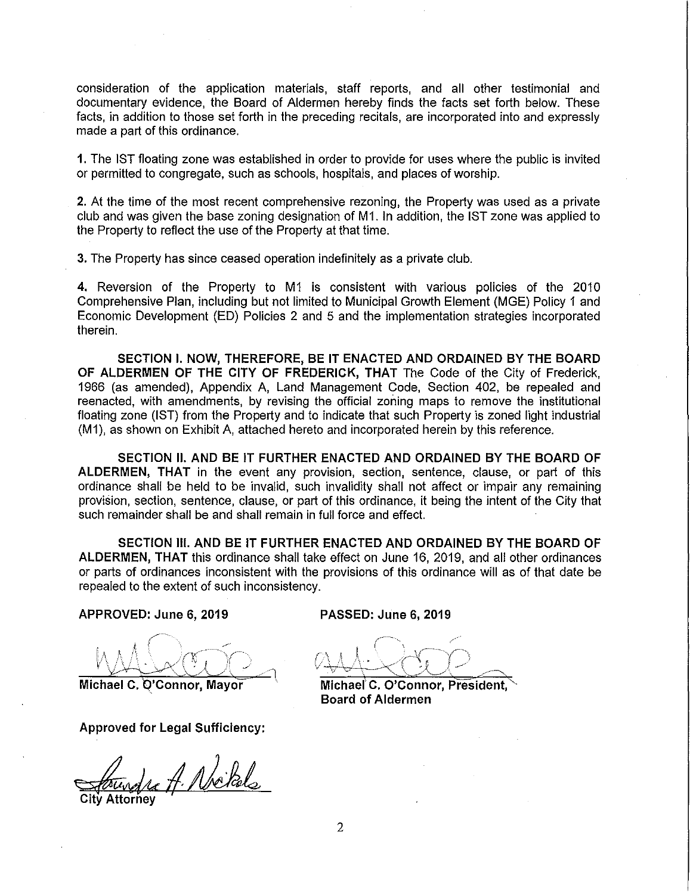consideration of the application materials, staff reports, and all other testimonial and documentary evidence, the Board of Aldermen hereby finds the facts set forth below. These facts, in addition to those set forth in the preceding recitals, are incorporated into and expressly made a part of this ordinance.

1. The 1ST floating zone was established in order to provide for uses where the public is invited or permitted to congregate, such as schools, hospitals, and places of worship.

2. At the time of the most recent comprehensive rezoning, the Property was used as a private club and was given the base zoning designation of M1. In addition, the IST zone was applied to the Property to reflect the use of the Property at that time.

3. The Property has since ceased operation indefinitely as a private club.

4. Reversion of the Property to M1 is consistent with various policies of the 2010 Comprehensive Plan, including but not limited to Municipal Growth Element (MGE) Policy 1 and Economic Development (ED) Policies 2 and 5 and the implementation strategies incorporated therein.

SECTION I. NOW, THEREFORE, BE IT ENACTED AND ORDAINED BY THE BOARD OF ALDERMEN OF THE CITY OF FREDERICK, THAT The Code of the City of Frederick, 1966 (as amended), Appendix A, Land Management Code, Section 402, be repealed and reenacted, with amendments, by revising the official zoning maps to remove the institutional floating zone (1ST) from the Property and to indicate that such Property is zoned light industrial (M1), as shown on Exhibit A, attached hereto and incorporated herein by this reference.

SECTION II. AND BE IT FURTHER ENACTED AND ORDAINED BY THE BOARD OF ALDERMEN, THAT in the event any provision, section, sentence, clause, or part of this ordinance shall be held to be invalid, such invalidity shall not affect or impair any remaining provision, section, sentence, clause, or part of this ordinance, it being the intent of the City that such remainder shall be and shall remain in full force and effect.

SECTION III. AND BE IT FURTHER ENACTED AND ORDAINED BY THE BOARD OF ALDERMEN, THAT this ordinance shall take effect on June 16, 2019, and all other ordinances or parts of ordinances inconsistent with the provisions of this ordinance will as of that date be repealed to the extent of such inconsistency.

APPROVED: June 6, 2019

Michael C. Q'Connor, Mayor

Approved for Legal Sufficiency:

Ju A. Nickels

PASSED: June 6, 2019

/"  $\ldots$ 

Michael<sup>'</sup> C. O'Connor, President, Board of Aldermen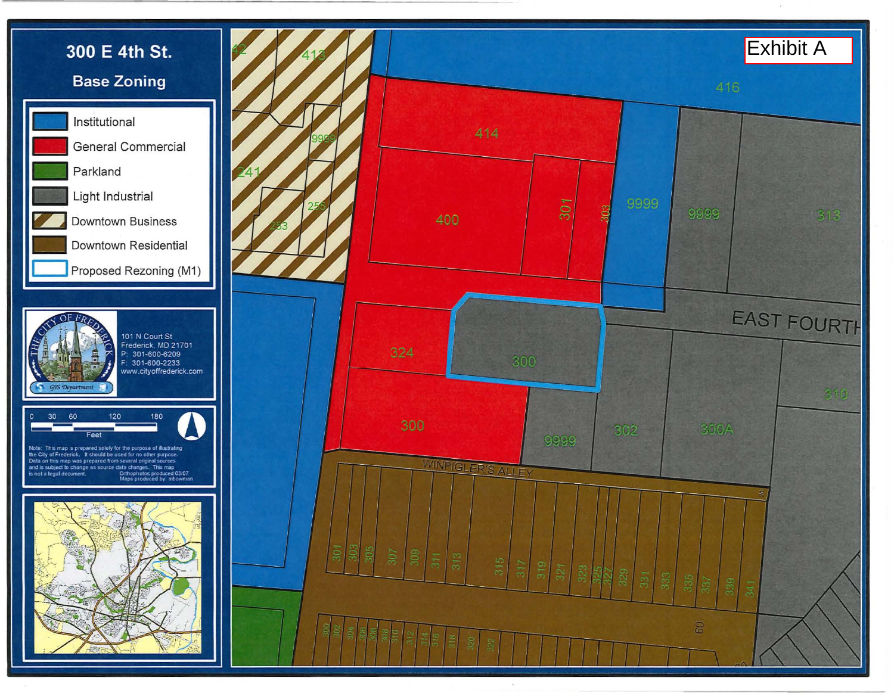